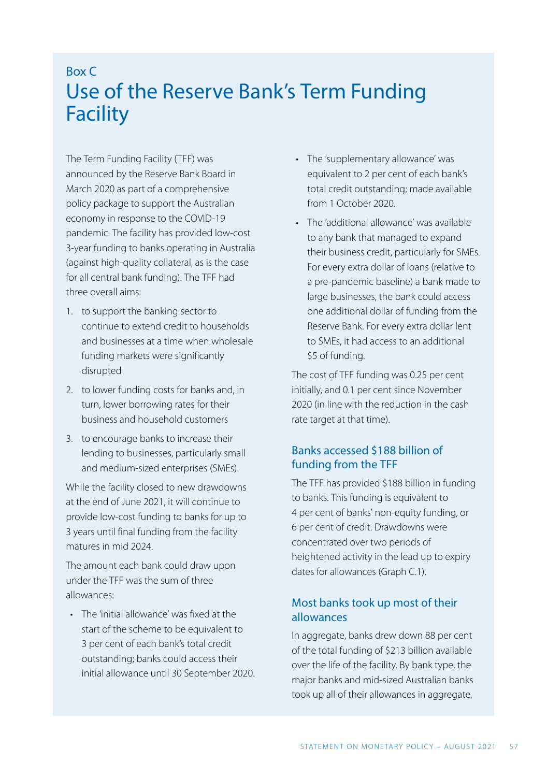# Box C Use of the Reserve Bank's Term Funding Facility

The Term Funding Facility (TFF) was announced by the Reserve Bank Board in March 2020 as part of a comprehensive policy package to support the Australian economy in response to the COVID-19 pandemic. The facility has provided low-cost 3-year funding to banks operating in Australia (against high-quality collateral, as is the case for all central bank funding). The TFF had three overall aims:

- 1. to support the banking sector to continue to extend credit to households and businesses at a time when wholesale funding markets were significantly disrupted
- 2. to lower funding costs for banks and, in turn, lower borrowing rates for their business and household customers
- 3. to encourage banks to increase their lending to businesses, particularly small and medium-sized enterprises (SMEs).

While the facility closed to new drawdowns at the end of June 2021, it will continue to provide low-cost funding to banks for up to 3 years until final funding from the facility matures in mid 2024.

The amount each bank could draw upon under the TFF was the sum of three allowances:

• The 'initial allowance' was fixed at the start of the scheme to be equivalent to 3 per cent of each bank's total credit outstanding; banks could access their initial allowance until 30 September 2020.

- The 'supplementary allowance' was equivalent to 2 per cent of each bank's total credit outstanding; made available from 1 October 2020.
- The 'additional allowance' was available to any bank that managed to expand their business credit, particularly for SMEs. For every extra dollar of loans (relative to a pre-pandemic baseline) a bank made to large businesses, the bank could access one additional dollar of funding from the Reserve Bank. For every extra dollar lent to SMEs, it had access to an additional \$5 of funding.

The cost of TFF funding was 0.25 per cent initially, and 0.1 per cent since November 2020 (in line with the reduction in the cash rate target at that time).

# Banks accessed \$188 billion of funding from the TFF

The TFF has provided \$188 billion in funding to banks. This funding is equivalent to 4 per cent of banks' non-equity funding, or 6 per cent of credit. Drawdowns were concentrated over two periods of heightened activity in the lead up to expiry dates for allowances (Graph C.1).

# Most banks took up most of their allowances

In aggregate, banks drew down 88 per cent of the total funding of \$213 billion available over the life of the facility. By bank type, the major banks and mid-sized Australian banks took up all of their allowances in aggregate,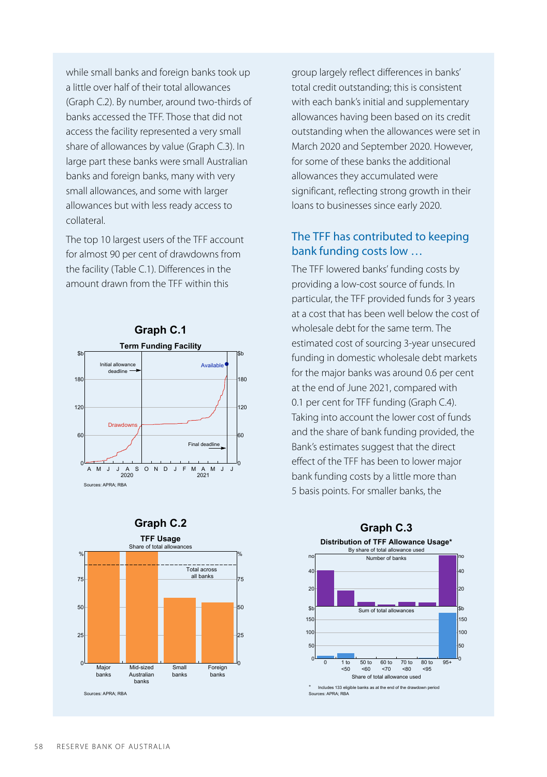while small banks and foreign banks took up a little over half of their total allowances (Graph C.2). By number, around two-thirds of banks accessed the TFF. Those that did not access the facility represented a very small share of allowances by value (Graph C.3). In large part these banks were small Australian banks and foreign banks, many with very small allowances, and some with larger allowances but with less ready access to collateral.

The top 10 largest users of the TFF account for almost 90 per cent of drawdowns from the facility (Table C.1). Differences in the amount drawn from the TFF within this







group largely reflect differences in banks' total credit outstanding; this is consistent with each bank's initial and supplementary allowances having been based on its credit outstanding when the allowances were set in March 2020 and September 2020. However, for some of these banks the additional allowances they accumulated were significant, reflecting strong growth in their loans to businesses since early 2020.

### The TFF has contributed to keeping bank funding costs low …

The TFF lowered banks' funding costs by providing a low-cost source of funds. In particular, the TFF provided funds for 3 years at a cost that has been well below the cost of wholesale debt for the same term. The estimated cost of sourcing 3-year unsecured funding in domestic wholesale debt markets for the major banks was around 0.6 per cent at the end of June 2021, compared with 0.1 per cent for TFF funding (Graph C.4). Taking into account the lower cost of funds and the share of bank funding provided, the Bank's estimates suggest that the direct effect of the TFF has been to lower major bank funding costs by a little more than 5 basis points. For smaller banks, the

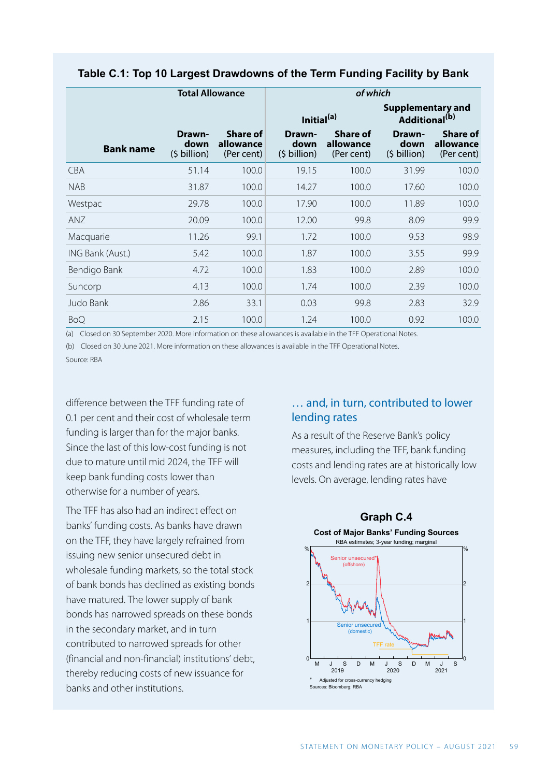|                  | <b>Total Allowance</b>                  |                                            | of which                                |                                            |                                                |                                            |
|------------------|-----------------------------------------|--------------------------------------------|-----------------------------------------|--------------------------------------------|------------------------------------------------|--------------------------------------------|
|                  |                                         |                                            | Initial <sup>(a)</sup>                  |                                            | Supplementary and<br>Additional <sup>(b)</sup> |                                            |
| <b>Bank name</b> | Drawn-<br>down<br>$(5 \text{ billion})$ | <b>Share of</b><br>allowance<br>(Per cent) | Drawn-<br>down<br>$(5 \text{ billion})$ | <b>Share of</b><br>allowance<br>(Per cent) | Drawn-<br>down<br>$(5 \text{ billion})$        | <b>Share of</b><br>allowance<br>(Per cent) |
| <b>CBA</b>       | 51.14                                   | 100.0                                      | 19.15                                   | 100.0                                      | 31.99                                          | 100.0                                      |
| <b>NAB</b>       | 31.87                                   | 100.0                                      | 14.27                                   | 100.0                                      | 17.60                                          | 100.0                                      |
| Westpac          | 29.78                                   | 100.0                                      | 17.90                                   | 100.0                                      | 11.89                                          | 100.0                                      |
| ANZ              | 20.09                                   | 100.0                                      | 12.00                                   | 99.8                                       | 8.09                                           | 99.9                                       |
| Macquarie        | 11.26                                   | 99.1                                       | 1.72                                    | 100.0                                      | 9.53                                           | 98.9                                       |
| ING Bank (Aust.) | 5.42                                    | 100.0                                      | 1.87                                    | 100.0                                      | 3.55                                           | 99.9                                       |
| Bendigo Bank     | 4.72                                    | 100.0                                      | 1.83                                    | 100.0                                      | 2.89                                           | 100.0                                      |
| Suncorp          | 4.13                                    | 100.0                                      | 1.74                                    | 100.0                                      | 2.39                                           | 100.0                                      |
| Judo Bank        | 2.86                                    | 33.1                                       | 0.03                                    | 99.8                                       | 2.83                                           | 32.9                                       |
| <b>BoQ</b>       | 2.15                                    | 100.0                                      | 1.24                                    | 100.0                                      | 0.92                                           | 100.0                                      |

#### **Table C.1: Top 10 Largest Drawdowns of the Term Funding Facility by Bank**

(a) Closed on 30 September 2020. More information on these allowances is available in the [TFF Operational Notes.](https://www.rba.gov.au/mkt-operations/term-funding-facility/operational-notes.html)

(b) Closed on 30 June 2021. More information on these allowances is available in the [TFF Operational Notes.](https://www.rba.gov.au/mkt-operations/term-funding-facility/operational-notes.html)

Source: RBA

difference between the TFF funding rate of 0.1 per cent and their cost of wholesale term funding is larger than for the major banks. Since the last of this low-cost funding is not due to mature until mid 2024, the TFF will keep bank funding costs lower than otherwise for a number of years.

The TFF has also had an indirect effect on banks' funding costs. As banks have drawn on the TFF, they have largely refrained from issuing new senior unsecured debt in wholesale funding markets, so the total stock of bank bonds has declined as existing bonds have matured. The lower supply of bank bonds has narrowed spreads on these bonds in the secondary market, and in turn contributed to narrowed spreads for other (financial and non-financial) institutions' debt, thereby reducing costs of new issuance for banks and other institutions.

# … and, in turn, contributed to lower lending rates

As a result of the Reserve Bank's policy measures, including the TFF, bank funding costs and lending rates are at historically low levels. On average, lending rates have